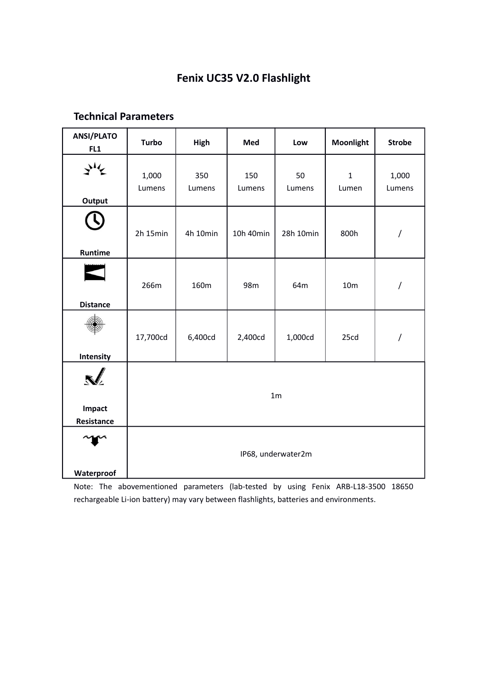# **Fenix UC35 V2.0 Flashlight**

|  | <b>Technical Parameters</b> |
|--|-----------------------------|
|--|-----------------------------|

| <b>ANSI/PLATO</b><br>FL1  | <b>Turbo</b>       | High          | Med           | Low          | Moonlight            | <b>Strobe</b>        |
|---------------------------|--------------------|---------------|---------------|--------------|----------------------|----------------------|
| Output                    | 1,000<br>Lumens    | 350<br>Lumens | 150<br>Lumens | 50<br>Lumens | $\mathbf 1$<br>Lumen | 1,000<br>Lumens      |
| Runtime                   | 2h 15min           | 4h 10min      | 10h 40min     | 28h 10min    | 800h                 | $\sqrt{\phantom{a}}$ |
| <b>Distance</b>           | 266m               | 160m          | 98m           | 64m          | 10 <sub>m</sub>      | $\sqrt{\phantom{a}}$ |
| Intensity                 | 17,700cd           | 6,400cd       | 2,400cd       | 1,000cd      | 25cd                 | $\prime$             |
| N<br>Impact<br>Resistance | 1 <sub>m</sub>     |               |               |              |                      |                      |
| Waterproof                | IP68, underwater2m |               |               |              |                      |                      |

Note: The abovementioned parameters (lab-tested by using Fenix ARB-L18-3500 18650 rechargeable Li-ion battery) may vary between flashlights, batteries and environments.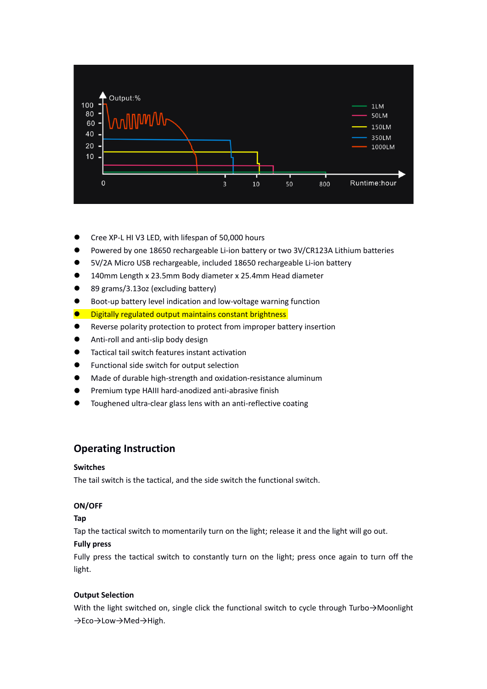

- Cree XP-L HI V3 LED, with lifespan of 50,000 hours
- Powered by one 18650 rechargeable Li-ion battery or two 3V/CR123A Lithium batteries
- 5V/2A Micro USB rechargeable, included 18650 rechargeable Li-ion battery
- 140mm Length x 23.5mm Body diameter x 25.4mm Head diameter
- 89 grams/3.13oz (excluding battery)
- Boot-up battery level indication and low-voltage warning function
- **O** Digitally regulated output maintains constant brightness
- Reverse polarity protection to protect from improper battery insertion
- Anti-roll and anti-slip body design
- Tactical tail switch features instant activation
- **•** Functional side switch for output selection
- Made of durable high-strength and oxidation-resistance aluminum
- Premium type HAIII hard-anodized anti-abrasive finish
- Toughened ultra-clear glass lens with an anti-reflective coating

## **Operating Instruction**

#### **Switches**

The tail switch is the tactical, and the side switch the functional switch.

### **ON/OFF**

#### **Tap**

Tap the tactical switch to momentarily turn on the light; release it and the light will go out.

#### **Fully press**

Fully press the tactical switch to constantly turn on the light; press once again to turn off the light.

#### **Output Selection**

With the light switched on, single click the functional switch to cycle through Turbo→Moonlight →Eco→Low→Med→High.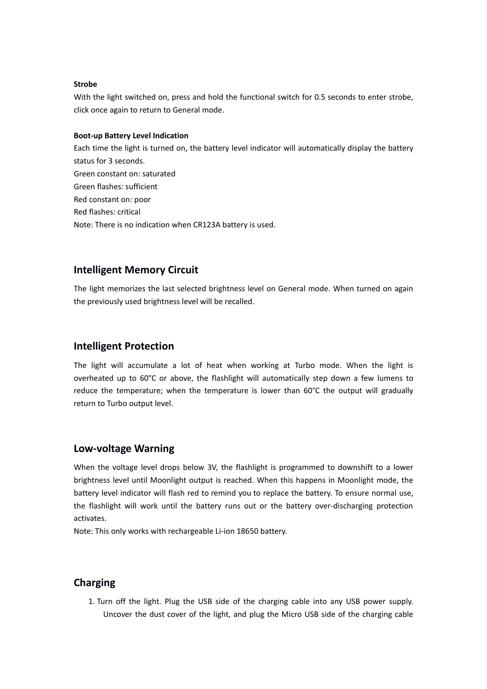#### **Strobe**

With the light switched on, press and hold the functional switch for 0.5 seconds to enter strobe, click once again to return to General mode.

#### **Boot-up Battery Level Indication**

Each time the light is turned on, the battery level indicator will automatically display the battery status for 3 seconds. Green constant on: saturated Green flashes: sufficient Red constant on: poor Red flashes: critical Note: There is no indication when CR123A battery is used.

## **Intelligent Memory Circuit**

The light memorizes the last selected brightness level on General mode. When turned on again the previously used brightness level will be recalled.

## **Intelligent Protection**

The light will accumulate a lot of heat when working at Turbo mode. When the light is overheated up to 60°C or above, the flashlight will automatically step down a few lumens to reduce the temperature; when the temperature is lower than 60°C the output will gradually return to Turbo output level.

## **Low-voltage Warning**

When the voltage level drops below 3V, the flashlight is programmed to downshift to a lower brightness level until Moonlight output is reached. When this happens in Moonlight mode, the battery level indicator will flash red to remind you to replace the battery. To ensure normal use, the flashlight will work until the battery runs out or the battery over-discharging protection activates.

Note: This only works with rechargeable Li-ion 18650 battery.

## **Charging**

1. Turn off the light. Plug the USB side of the charging cable into any USB power supply. Uncover the dust cover of the light, and plug the Micro USB side of the charging cable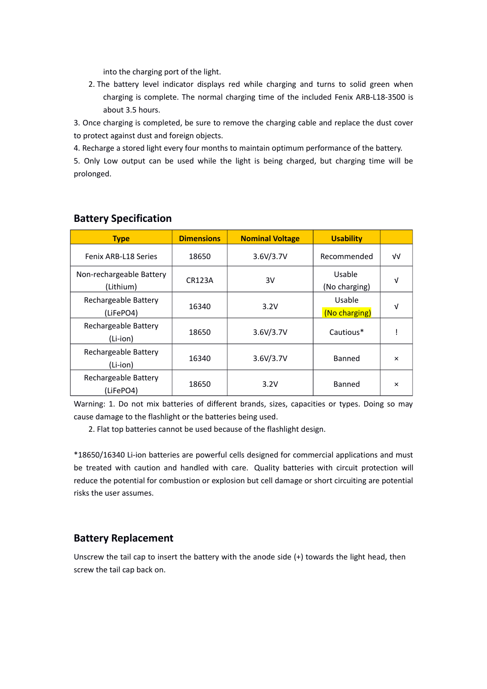into the charging port of the light.

2. The battery level indicator displays red while charging and turns to solid green when charging is complete. The normal charging time of the included Fenix ARB-L18-3500 is about 3.5 hours.

3. Once charging is completed, be sure to remove the charging cable and replace the dust cover to protect against dust and foreign objects.

4. Recharge a stored light every four months to maintain optimum performance of the battery.

5. Only Low output can be used while the light is being charged, but charging time will be prolonged.

| <b>Type</b>                           | <b>Dimensions</b> | <b>Nominal Voltage</b> | <b>Usability</b>        |          |
|---------------------------------------|-------------------|------------------------|-------------------------|----------|
| Fenix ARB-L18 Series                  | 18650             | 3.6V/3.7V              | Recommended             | ν√       |
| Non-rechargeable Battery<br>(Lithium) | <b>CR123A</b>     | 3V                     | Usable<br>(No charging) | V        |
| Rechargeable Battery<br>(LiFePO4)     | 16340             | 3.2V                   | Usable<br>(No charging) | V        |
| Rechargeable Battery<br>(Li-ion)      | 18650             | 3.6V/3.7V              | Cautious*               |          |
| Rechargeable Battery<br>(Li-ion)      | 16340             | 3.6V/3.7V              | Banned                  | $\times$ |
| Rechargeable Battery<br>(LiFePO4)     | 18650             | 3.2V                   | Banned                  | $\times$ |

## **Battery Specification**

Warning: 1. Do not mix batteries of different brands, sizes, capacities or types. Doing so may cause damage to the flashlight or the batteries being used.

2. Flat top batteries cannot be used because of the flashlight design.

\*18650/16340 Li-ion batteries are powerful cells designed for commercial applications and must be treated with caution and handled with care. Quality batteries with circuit protection will reduce the potential for combustion or explosion but cell damage or short circuiting are potential risks the user assumes.

## **Battery Replacement**

Unscrew the tail cap to insert the battery with the anode side (+) towards the light head, then screw the tail cap back on.